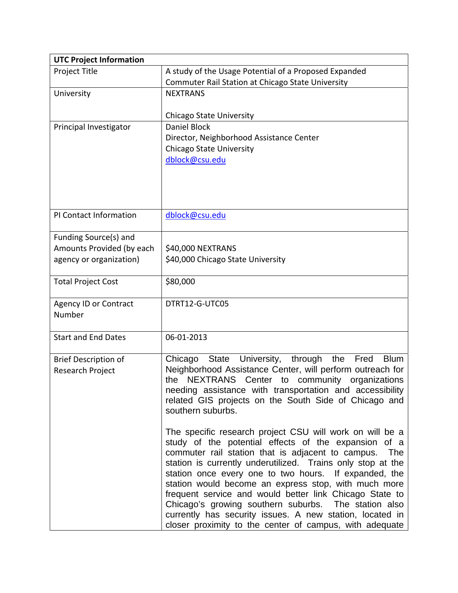| <b>UTC Project Information</b> |                                                                                                    |
|--------------------------------|----------------------------------------------------------------------------------------------------|
| Project Title                  | A study of the Usage Potential of a Proposed Expanded                                              |
|                                | Commuter Rail Station at Chicago State University                                                  |
| University                     | <b>NEXTRANS</b>                                                                                    |
|                                |                                                                                                    |
|                                | <b>Chicago State University</b>                                                                    |
| Principal Investigator         | Daniel Block                                                                                       |
|                                | Director, Neighborhood Assistance Center                                                           |
|                                | <b>Chicago State University</b>                                                                    |
|                                | dblock@csu.edu                                                                                     |
|                                |                                                                                                    |
|                                |                                                                                                    |
|                                |                                                                                                    |
| PI Contact Information         | dblock@csu.edu                                                                                     |
|                                |                                                                                                    |
| Funding Source(s) and          |                                                                                                    |
| Amounts Provided (by each      | \$40,000 NEXTRANS                                                                                  |
| agency or organization)        | \$40,000 Chicago State University                                                                  |
|                                |                                                                                                    |
| <b>Total Project Cost</b>      | \$80,000                                                                                           |
|                                |                                                                                                    |
| <b>Agency ID or Contract</b>   | DTRT12-G-UTC05                                                                                     |
| Number                         |                                                                                                    |
|                                |                                                                                                    |
| <b>Start and End Dates</b>     | 06-01-2013                                                                                         |
|                                |                                                                                                    |
| <b>Brief Description of</b>    | State University, through<br>the<br>Fred<br><b>Blum</b><br>Chicago                                 |
| Research Project               | Neighborhood Assistance Center, will perform outreach for<br>community<br>the                      |
|                                | NEXTRANS Center<br>to<br>organizations<br>needing assistance with transportation and accessibility |
|                                | related GIS projects on the South Side of Chicago and                                              |
|                                | southern suburbs.                                                                                  |
|                                |                                                                                                    |
|                                | The specific research project CSU will work on will be a                                           |
|                                | study of the potential effects of the expansion of a                                               |
|                                | commuter rail station that is adjacent to campus.<br>The                                           |
|                                | station is currently underutilized. Trains only stop at the                                        |
|                                | station once every one to two hours. If expanded, the                                              |
|                                | station would become an express stop, with much more                                               |
|                                | frequent service and would better link Chicago State to                                            |
|                                | Chicago's growing southern suburbs. The station also                                               |
|                                | currently has security issues. A new station, located in                                           |
|                                | closer proximity to the center of campus, with adequate                                            |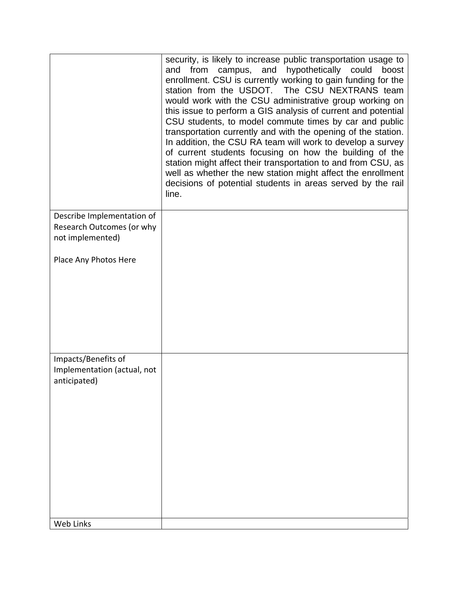|                                                                             | security, is likely to increase public transportation usage to<br>campus, and hypothetically could<br>from<br>boost<br>and<br>enrollment. CSU is currently working to gain funding for the<br>station from the USDOT. The CSU NEXTRANS team<br>would work with the CSU administrative group working on<br>this issue to perform a GIS analysis of current and potential<br>CSU students, to model commute times by car and public<br>transportation currently and with the opening of the station.<br>In addition, the CSU RA team will work to develop a survey<br>of current students focusing on how the building of the<br>station might affect their transportation to and from CSU, as<br>well as whether the new station might affect the enrollment<br>decisions of potential students in areas served by the rail<br>line. |
|-----------------------------------------------------------------------------|-------------------------------------------------------------------------------------------------------------------------------------------------------------------------------------------------------------------------------------------------------------------------------------------------------------------------------------------------------------------------------------------------------------------------------------------------------------------------------------------------------------------------------------------------------------------------------------------------------------------------------------------------------------------------------------------------------------------------------------------------------------------------------------------------------------------------------------|
| Describe Implementation of<br>Research Outcomes (or why<br>not implemented) |                                                                                                                                                                                                                                                                                                                                                                                                                                                                                                                                                                                                                                                                                                                                                                                                                                     |
| Place Any Photos Here                                                       |                                                                                                                                                                                                                                                                                                                                                                                                                                                                                                                                                                                                                                                                                                                                                                                                                                     |
|                                                                             |                                                                                                                                                                                                                                                                                                                                                                                                                                                                                                                                                                                                                                                                                                                                                                                                                                     |
|                                                                             |                                                                                                                                                                                                                                                                                                                                                                                                                                                                                                                                                                                                                                                                                                                                                                                                                                     |
| Impacts/Benefits of                                                         |                                                                                                                                                                                                                                                                                                                                                                                                                                                                                                                                                                                                                                                                                                                                                                                                                                     |
| Implementation (actual, not<br>anticipated)                                 |                                                                                                                                                                                                                                                                                                                                                                                                                                                                                                                                                                                                                                                                                                                                                                                                                                     |
|                                                                             |                                                                                                                                                                                                                                                                                                                                                                                                                                                                                                                                                                                                                                                                                                                                                                                                                                     |
|                                                                             |                                                                                                                                                                                                                                                                                                                                                                                                                                                                                                                                                                                                                                                                                                                                                                                                                                     |
|                                                                             |                                                                                                                                                                                                                                                                                                                                                                                                                                                                                                                                                                                                                                                                                                                                                                                                                                     |
|                                                                             |                                                                                                                                                                                                                                                                                                                                                                                                                                                                                                                                                                                                                                                                                                                                                                                                                                     |
| Web Links                                                                   |                                                                                                                                                                                                                                                                                                                                                                                                                                                                                                                                                                                                                                                                                                                                                                                                                                     |